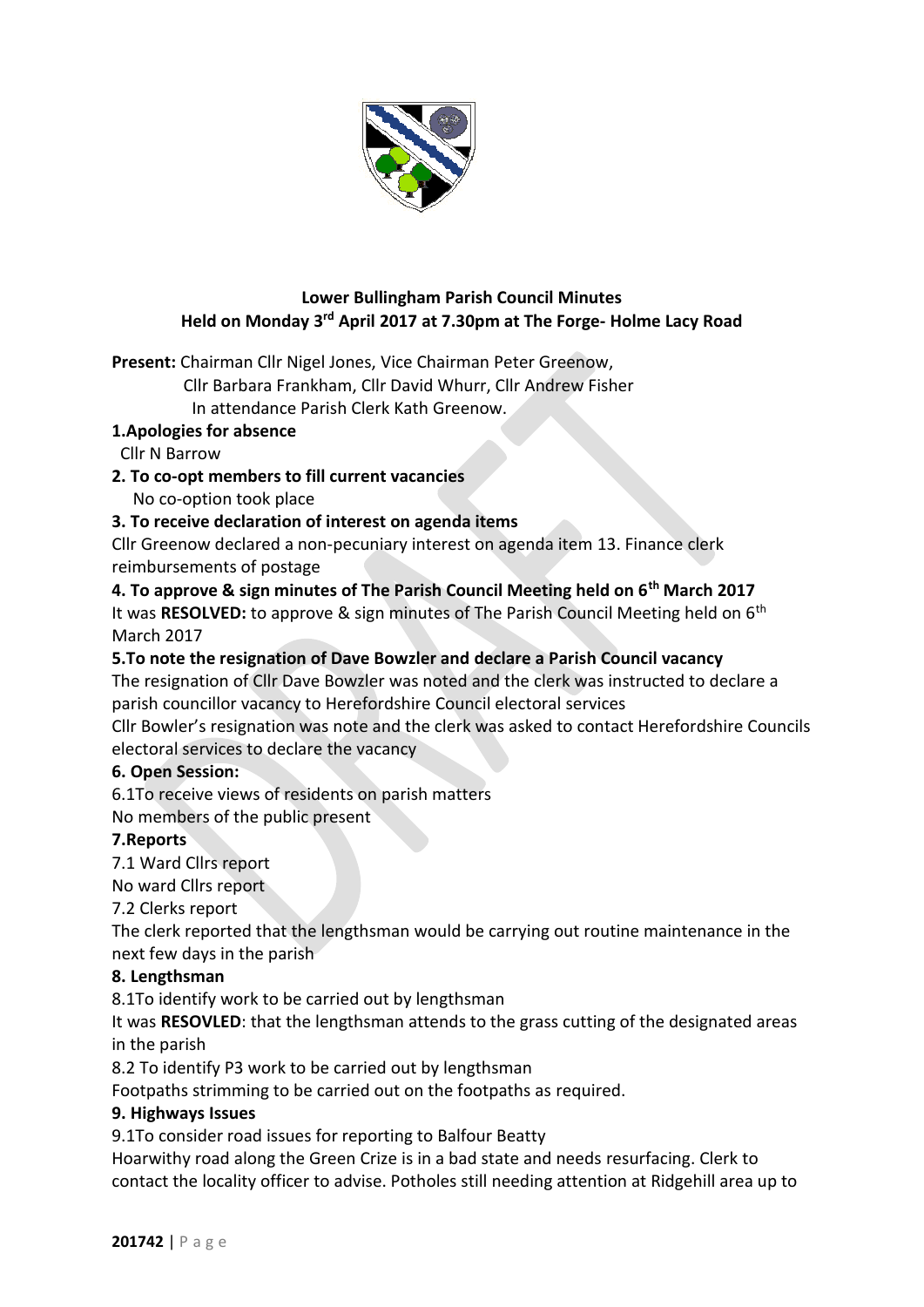

## **Lower Bullingham Parish Council Minutes Held on Monday 3 rd April 2017 at 7.30pm at The Forge- Holme Lacy Road**

**Present:** Chairman Cllr Nigel Jones, Vice Chairman Peter Greenow,

Cllr Barbara Frankham, Cllr David Whurr, Cllr Andrew Fisher

In attendance Parish Clerk Kath Greenow.

### **1.Apologies for absence**

Cllr N Barrow

# **2. To co-opt members to fill current vacancies**

No co-option took place

# **3. To receive declaration of interest on agenda items**

Cllr Greenow declared a non-pecuniary interest on agenda item 13. Finance clerk reimbursements of postage

**4. To approve & sign minutes of The Parish Council Meeting held on 6th March 2017** It was **RESOLVED:** to approve & sign minutes of The Parish Council Meeting held on 6th March 2017

## **5.To note the resignation of Dave Bowzler and declare a Parish Council vacancy**

The resignation of Cllr Dave Bowzler was noted and the clerk was instructed to declare a parish councillor vacancy to Herefordshire Council electoral services

Cllr Bowler's resignation was note and the clerk was asked to contact Herefordshire Councils electoral services to declare the vacancy

### **6. Open Session:**

6.1To receive views of residents on parish matters

No members of the public present

# **7.Reports**

7.1 Ward Cllrs report

No ward Cllrs report

7.2 Clerks report

The clerk reported that the lengthsman would be carrying out routine maintenance in the next few days in the parish

### **8. Lengthsman**

8.1To identify work to be carried out by lengthsman

It was **RESOVLED**: that the lengthsman attends to the grass cutting of the designated areas in the parish

8.2 To identify P3 work to be carried out by lengthsman

Footpaths strimming to be carried out on the footpaths as required.

### **9. Highways Issues**

9.1To consider road issues for reporting to Balfour Beatty

Hoarwithy road along the Green Crize is in a bad state and needs resurfacing. Clerk to contact the locality officer to advise. Potholes still needing attention at Ridgehill area up to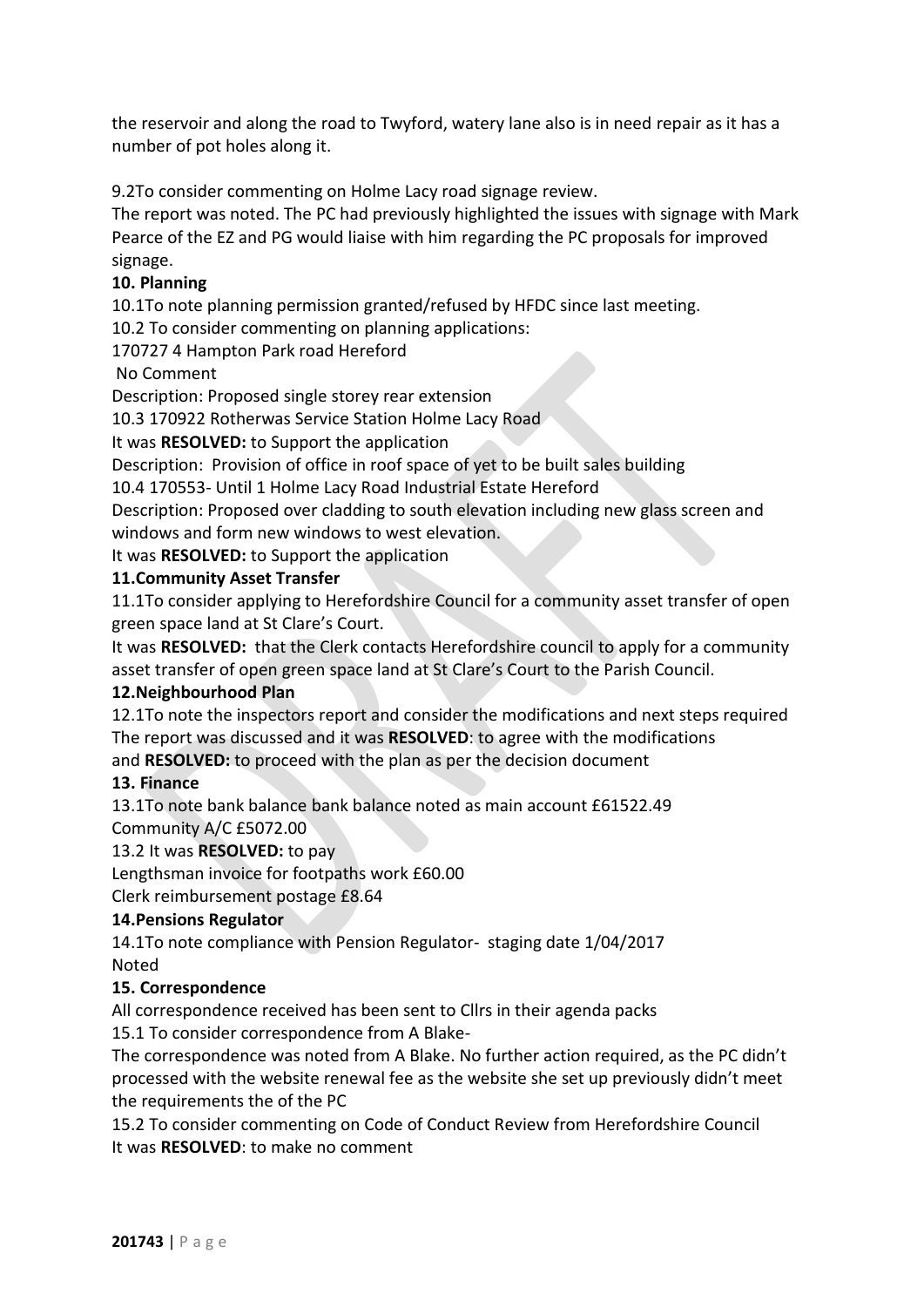the reservoir and along the road to Twyford, watery lane also is in need repair as it has a number of pot holes along it.

9.2To consider commenting on Holme Lacy road signage review.

The report was noted. The PC had previously highlighted the issues with signage with Mark Pearce of the EZ and PG would liaise with him regarding the PC proposals for improved signage.

## **10. Planning**

10.1To note planning permission granted/refused by HFDC since last meeting.

10.2 To consider commenting on planning applications:

170727 4 Hampton Park road Hereford

No Comment

Description: Proposed single storey rear extension

10.3 170922 Rotherwas Service Station Holme Lacy Road

It was **RESOLVED:** to Support the application

Description: Provision of office in roof space of yet to be built sales building

10.4 170553- Until 1 Holme Lacy Road Industrial Estate Hereford

Description: Proposed over cladding to south elevation including new glass screen and windows and form new windows to west elevation.

It was **RESOLVED:** to Support the application

#### **11.Community Asset Transfer**

11.1To consider applying to Herefordshire Council for a community asset transfer of open green space land at St Clare's Court.

It was **RESOLVED:** that the Clerk contacts Herefordshire council to apply for a community asset transfer of open green space land at St Clare's Court to the Parish Council.

### **12.Neighbourhood Plan**

12.1To note the inspectors report and consider the modifications and next steps required The report was discussed and it was **RESOLVED**: to agree with the modifications

and **RESOLVED:** to proceed with the plan as per the decision document

### **13. Finance**

13.1To note bank balance bank balance noted as main account £61522.49 Community A/C £5072.00

#### 13.2 It was **RESOLVED:** to pay

Lengthsman invoice for footpaths work £60.00

Clerk reimbursement postage £8.64

### **14.Pensions Regulator**

14.1To note compliance with Pension Regulator- staging date 1/04/2017 Noted

### **15. Correspondence**

All correspondence received has been sent to Cllrs in their agenda packs

15.1 To consider correspondence from A Blake-

The correspondence was noted from A Blake. No further action required, as the PC didn't processed with the website renewal fee as the website she set up previously didn't meet the requirements the of the PC

15.2 To consider commenting on Code of Conduct Review from Herefordshire Council It was **RESOLVED**: to make no comment